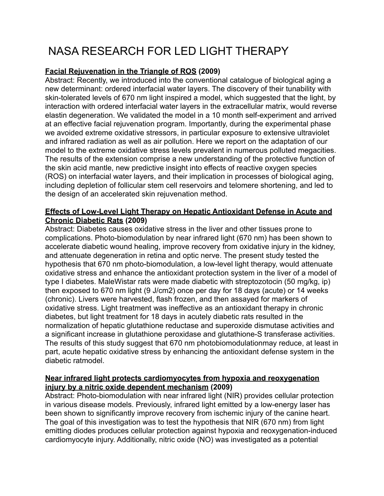# NASA RESEARCH FOR LED LIGHT THERAPY

# **[Facial Rejuvenation in the Triangle of ROS](http://www.ultimatehealing.com/AppData/Local/Microsoft/Windows/Temporary%20Internet%20Files/Low/Content.IE5/D12SI2NH/lib/pdf/FacialRejuve.pdf) (2009)**

Abstract: Recently, we introduced into the conventional catalogue of biological aging a new determinant: ordered interfacial water layers. The discovery of their tunability with skin-tolerated levels of 670 nm light inspired a model, which suggested that the light, by interaction with ordered interfacial water layers in the extracellular matrix, would reverse elastin degeneration. We validated the model in a 10 month self-experiment and arrived at an effective facial rejuvenation program. Importantly, during the experimental phase we avoided extreme oxidative stressors, in particular exposure to extensive ultraviolet and infrared radiation as well as air pollution. Here we report on the adaptation of our model to the extreme oxidative stress levels prevalent in numerous polluted megacities. The results of the extension comprise a new understanding of the protective function of the skin acid mantle, new predictive insight into effects of reactive oxygen species (ROS) on interfacial water layers, and their implication in processes of biological aging, including depletion of follicular stem cell reservoirs and telomere shortening, and led to the design of an accelerated skin rejuvenation method.

#### **[Effects of Low-Level Light Therapy on Hepatic Antioxidant Defense in Acute and](http://www.ultimatehealing.com/%22../AppData/Local/Microsoft/Windows/Temporary%20Internet%20Files/Low/Content.IE5/D12S)  [Chronic Diabetic Rats](http://www.ultimatehealing.com/%22../AppData/Local/Microsoft/Windows/Temporary%20Internet%20Files/Low/Content.IE5/D12S) (2009)**

Abstract: Diabetes causes oxidative stress in the liver and other tissues prone to complications. Photo-biomodulation by near infrared light (670 nm) has been shown to accelerate diabetic wound healing, improve recovery from oxidative injury in the kidney, and attenuate degeneration in retina and optic nerve. The present study tested the hypothesis that 670 nm photo-biomodulation, a low-level light therapy, would attenuate oxidative stress and enhance the antioxidant protection system in the liver of a model of type I diabetes. MaleWistar rats were made diabetic with streptozotocin (50 mg/kg, ip) then exposed to 670 nm light (9 J/cm2) once per day for 18 days (acute) or 14 weeks (chronic). Livers were harvested, flash frozen, and then assayed for markers of oxidative stress. Light treatment was ineffective as an antioxidant therapy in chronic diabetes, but light treatment for 18 days in acutely diabetic rats resulted in the normalization of hepatic glutathione reductase and superoxide dismutase activities and a significant increase in glutathione peroxidase and glutathione-S transferase activities. The results of this study suggest that 670 nm photobiomodulationmay reduce, at least in part, acute hepatic oxidative stress by enhancing the antioxidant defense system in the diabetic ratmodel.

#### **[Near infrared light protects cardiomyocytes from hypoxia and reoxygenation](http://www.ultimatehealing.com/AppData/Local/Microsoft/Windows/Temporary%20Internet%20Files/Low/Content.IE5/D12SI2NH/lib/pdf/Cardiomyocytes.pdf)  [injury by a nitric oxide dependent mechanism](http://www.ultimatehealing.com/AppData/Local/Microsoft/Windows/Temporary%20Internet%20Files/Low/Content.IE5/D12SI2NH/lib/pdf/Cardiomyocytes.pdf) (2009)**

Abstract: Photo-biomodulation with near infrared light (NIR) provides cellular protection in various disease models. Previously, infrared light emitted by a low-energy laser has been shown to significantly improve recovery from ischemic injury of the canine heart. The goal of this investigation was to test the hypothesis that NIR (670 nm) from light emitting diodes produces cellular protection against hypoxia and reoxygenation-induced cardiomyocyte injury. Additionally, nitric oxide (NO) was investigated as a potential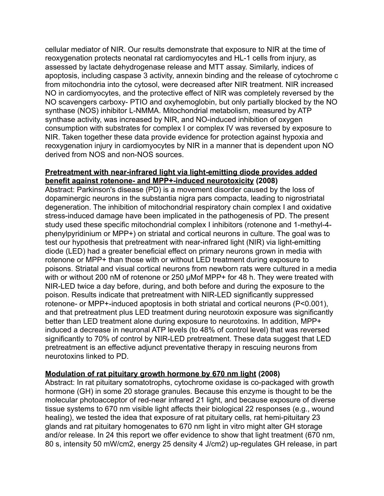cellular mediator of NIR. Our results demonstrate that exposure to NIR at the time of reoxygenation protects neonatal rat cardiomyocytes and HL-1 cells from injury, as assessed by lactate dehydrogenase release and MTT assay. Similarly, indices of apoptosis, including caspase 3 activity, annexin binding and the release of cytochrome c from mitochondria into the cytosol, were decreased after NIR treatment. NIR increased NO in cardiomyocytes, and the protective effect of NIR was completely reversed by the NO scavengers carboxy- PTIO and oxyhemoglobin, but only partially blocked by the NO synthase (NOS) inhibitor L-NMMA. Mitochondrial metabolism, measured by ATP synthase activity, was increased by NIR, and NO-induced inhibition of oxygen consumption with substrates for complex I or complex IV was reversed by exposure to NIR. Taken together these data provide evidence for protection against hypoxia and reoxygenation injury in cardiomyocytes by NIR in a manner that is dependent upon NO derived from NOS and non-NOS sources.

#### **[Pretreatment with near-infrared light via light-emitting diode provides added](http://www.ultimatehealing.com/%22../AppData/Local/Microsoft/Windows/Temporary%20Internet%20Files/Low/Content.IE5/D12SI2NH/lib/pdf/)  [benefit against rotenone- and MPP+-induced neurotoxicity](http://www.ultimatehealing.com/%22../AppData/Local/Microsoft/Windows/Temporary%20Internet%20Files/Low/Content.IE5/D12SI2NH/lib/pdf/) (2008)**

Abstract: Parkinson's disease (PD) is a movement disorder caused by the loss of dopaminergic neurons in the substantia nigra pars compacta, leading to nigrostriatal degeneration. The inhibition of mitochondrial respiratory chain complex I and oxidative stress-induced damage have been implicated in the pathogenesis of PD. The present study used these specific mitochondrial complex I inhibitors (rotenone and 1-methyl-4 phenylpyridinium or MPP+) on striatal and cortical neurons in culture. The goal was to test our hypothesis that pretreatment with near-infrared light (NIR) via light-emitting diode (LED) had a greater beneficial effect on primary neurons grown in media with rotenone or MPP+ than those with or without LED treatment during exposure to poisons. Striatal and visual cortical neurons from newborn rats were cultured in a media with or without 200 nM of rotenone or 250 µMof MPP+ for 48 h. They were treated with NIR-LED twice a day before, during, and both before and during the exposure to the poison. Results indicate that pretreatment with NIR-LED significantly suppressed rotenone- or MPP+-induced apoptosis in both striatal and cortical neurons (P<0.001), and that pretreatment plus LED treatment during neurotoxin exposure was significantly better than LED treatment alone during exposure to neurotoxins. In addition, MPP+ induced a decrease in neuronal ATP levels (to 48% of control level) that was reversed significantly to 70% of control by NIR-LED pretreatment. These data suggest that LED pretreatment is an effective adjunct preventative therapy in rescuing neurons from neurotoxins linked to PD.

## **[Modulation of rat pituitary growth hormone by 670 nm light](http://www.ultimatehealing.com/%22../AppData/Local/Microsoft/Windows/Temporary%20Internet%20Files/Low/Content.IE5) (2008)**

Abstract: In rat pituitary somatotrophs, cytochrome oxidase is co-packaged with growth hormone (GH) in some 20 storage granules. Because this enzyme is thought to be the molecular photoacceptor of red-near infrared 21 light, and because exposure of diverse tissue systems to 670 nm visible light affects their biological 22 responses (e.g., wound healing), we tested the idea that exposure of rat pituitary cells, rat hemi-pituitary 23 glands and rat pituitary homogenates to 670 nm light in vitro might alter GH storage and/or release. In 24 this report we offer evidence to show that light treatment (670 nm, 80 s, intensity 50 mW/cm2, energy 25 density 4 J/cm2) up-regulates GH release, in part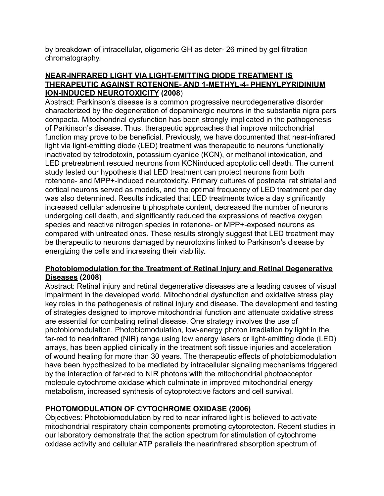by breakdown of intracellular, oligomeric GH as deter- 26 mined by gel filtration chromatography.

### **[NEAR-INFRARED LIGHT VIA LIGHT-EMITTING DIODE TREATMENT IS](http://www.ultimatehealing.com/%22../AppData/Local/Microsoft/Windows/Temporary%20Internet%20Files/Low/Content.IE5/D12SI2NH/lib/pdf/NeuroscienceWhelan2008.p)  [THERAPEUTIC AGAINST ROTENONE- AND 1-METHYL-4- PHENYLPYRIDINIUM](http://www.ultimatehealing.com/%22../AppData/Local/Microsoft/Windows/Temporary%20Internet%20Files/Low/Content.IE5/D12SI2NH/lib/pdf/NeuroscienceWhelan2008.p)  [ION-INDUCED NEUROTOXICITY](http://www.ultimatehealing.com/%22../AppData/Local/Microsoft/Windows/Temporary%20Internet%20Files/Low/Content.IE5/D12SI2NH/lib/pdf/NeuroscienceWhelan2008.p) (2008**)

Abstract: Parkinson's disease is a common progressive neurodegenerative disorder characterized by the degeneration of dopaminergic neurons in the substantia nigra pars compacta. Mitochondrial dysfunction has been strongly implicated in the pathogenesis of Parkinson's disease. Thus, therapeutic approaches that improve mitochondrial function may prove to be beneficial. Previously, we have documented that near-infrared light via light-emitting diode (LED) treatment was therapeutic to neurons functionally inactivated by tetrodotoxin, potassium cyanide (KCN), or methanol intoxication, and LED pretreatment rescued neurons from KCNinduced apoptotic cell death. The current study tested our hypothesis that LED treatment can protect neurons from both rotenone- and MPP+-induced neurotoxicity. Primary cultures of postnatal rat striatal and cortical neurons served as models, and the optimal frequency of LED treatment per day was also determined. Results indicated that LED treatments twice a day significantly increased cellular adenosine triphosphate content, decreased the number of neurons undergoing cell death, and significantly reduced the expressions of reactive oxygen species and reactive nitrogen species in rotenone- or MPP+-exposed neurons as compared with untreated ones. These results strongly suggest that LED treatment may be therapeutic to neurons damaged by neurotoxins linked to Parkinson's disease by energizing the cells and increasing their viability.

# **[Photobiomodulation for the Treatment of Retinal Injury and Retinal Degenerative](http://www.ultimatehealing.com/AppData/Local/Microsoft/Windows/Temporary%20Internet%20Files/Low/Content.IE5/D12SI2NH/lib/pdf/EellsPBM_Proceedings.pdf)  [Diseases](http://www.ultimatehealing.com/AppData/Local/Microsoft/Windows/Temporary%20Internet%20Files/Low/Content.IE5/D12SI2NH/lib/pdf/EellsPBM_Proceedings.pdf) (2008)**

Abstract: Retinal injury and retinal degenerative diseases are a leading causes of visual impairment in the developed world. Mitochondrial dysfunction and oxidative stress play key roles in the pathogenesis of retinal injury and disease. The development and testing of strategies designed to improve mitochondrial function and attenuate oxidative stress are essential for combating retinal disease. One strategy involves the use of photobiomodulation. Photobiomodulation, low-energy photon irradiation by light in the far-red to nearinfrared (NIR) range using low energy lasers or light-emitting diode (LED) arrays, has been applied clinically in the treatment soft tissue injuries and acceleration of wound healing for more than 30 years. The therapeutic effects of photobiomodulation have been hypothesized to be mediated by intracellular signaling mechanisms triggered by the interaction of far-red to NIR photons with the mitochondrial photoacceptor molecule cytochrome oxidase which culminate in improved mitochondrial energy metabolism, increased synthesis of cytoprotective factors and cell survival.

# **[PHOTOMODULATION OF CYTOCHROME OXIDASE](http://www.ultimatehealing.com/AppData/Local/Microsoft/Windows/Temporary%20Internet%20Files/Low/Content.IE5/D12SI2NH/lib/pdf/Neuropediatrics.pdf) (2006)**

Objectives: Photobiomodulation by red to near infrared light is believed to activate mitochondrial respiratory chain components promoting cytoprotecton. Recent studies in our laboratory demonstrate that the action spectrum for stimulation of cytochrome oxidase activity and cellular ATP parallels the nearinfrared absorption spectrum of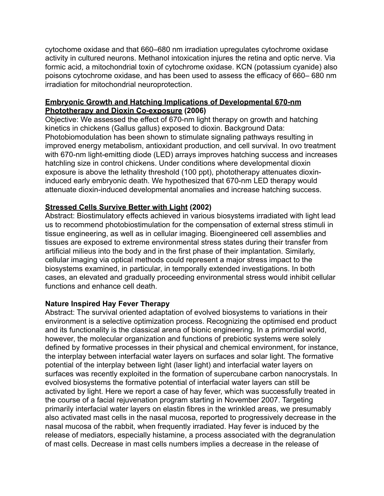cytochome oxidase and that 660–680 nm irradiation upregulates cytochrome oxidase activity in cultured neurons. Methanol intoxication injures the retina and optic nerve. Via formic acid, a mitochondrial toxin of cytochrome oxidase. KCN (potassium cyanide) also poisons cytochrome oxidase, and has been used to assess the efficacy of 660– 680 nm irradiation for mitochondrial neuroprotection.

#### **[Embryonic Growth and Hatching Implications of Developmental 670-nm](http://www.ultimatehealing.com/AppData/Local/Microsoft/Windows/Temporary%20Internet%20Files/Low/Content.IE5/D12SI2NH/lib/pdf/PhotonFacial.pdf)  [Phototherapy and Dioxin Co-exposure](http://www.ultimatehealing.com/AppData/Local/Microsoft/Windows/Temporary%20Internet%20Files/Low/Content.IE5/D12SI2NH/lib/pdf/PhotonFacial.pdf) (2006)**

Objective: We assessed the effect of 670-nm light therapy on growth and hatching kinetics in chickens (Gallus gallus) exposed to dioxin. Background Data: Photobiomodulation has been shown to stimulate signaling pathways resulting in improved energy metabolism, antioxidant production, and cell survival. In ovo treatment with 670-nm light-emitting diode (LED) arrays improves hatching success and increases hatchling size in control chickens. Under conditions where developmental dioxin exposure is above the lethality threshold (100 ppt), phototherapy attenuates dioxininduced early embryonic death. We hypothesized that 670-nm LED therapy would attenuate dioxin-induced developmental anomalies and increase hatching success.

## **[Stressed Cells Survive Better with Light](http://www.ultimatehealing.com/%22../AppData/Local/Microsoft/Windows/Temp) (2002)**

Abstract: Biostimulatory effects achieved in various biosystems irradiated with light lead us to recommend photobiostimulation for the compensation of external stress stimuli in tissue engineering, as well as in cellular imaging. Bioengineered cell assemblies and tissues are exposed to extreme environmental stress states during their transfer from artificial milieus into the body and in the first phase of their implantation. Similarly, cellular imaging via optical methods could represent a major stress impact to the biosystems examined, in particular, in temporally extended investigations. In both cases, an elevated and gradually proceeding environmental stress would inhibit cellular functions and enhance cell death.

#### **Nature Inspired Hay Fever Therapy**

Abstract: The survival oriented adaptation of evolved biosystems to variations in their environment is a selective optimization process. Recognizing the optimised end product and its functionality is the classical arena of bionic engineering. In a primordial world, however, the molecular organization and functions of prebiotic systems were solely defined by formative processes in their physical and chemical environment, for instance, the interplay between interfacial water layers on surfaces and solar light. The formative potential of the interplay between light (laser light) and interfacial water layers on surfaces was recently exploited in the formation of supercubane carbon nanocrystals. In evolved biosystems the formative potential of interfacial water layers can still be activated by light. Here we report a case of hay fever, which was successfully treated in the course of a facial rejuvenation program starting in November 2007. Targeting primarily interfacial water layers on elastin fibres in the wrinkled areas, we presumably also activated mast cells in the nasal mucosa, reported to progressively decrease in the nasal mucosa of the rabbit, when frequently irradiated. Hay fever is induced by the release of mediators, especially histamine, a process associated with the degranulation of mast cells. Decrease in mast cells numbers implies a decrease in the release of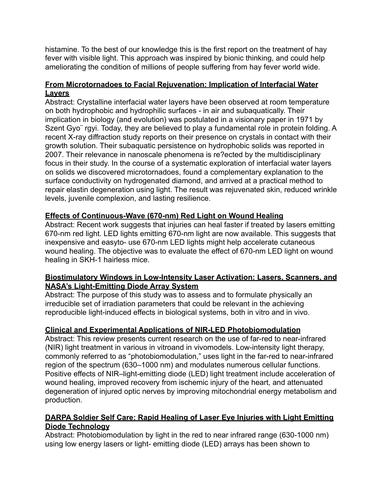histamine. To the best of our knowledge this is the first report on the treatment of hay fever with visible light. This approach was inspired by bionic thinking, and could help ameliorating the condition of millions of people suffering from hay fever world wide.

## **[From Microtornadoes to Facial Rejuvenation: Implication of Interfacial Water](http://www.ultimatehealing.com/%22../AppData/Local/Microsoft/Windows/Tem)  [Layers](http://www.ultimatehealing.com/%22../AppData/Local/Microsoft/Windows/Tem)**

Abstract: Crystalline interfacial water layers have been observed at room temperature on both hydrophobic and hydrophilic surfaces - in air and subaquatically. Their implication in biology (and evolution) was postulated in a visionary paper in 1971 by Szent Gyo" rgyi. Today, they are believed to play a fundamental role in protein folding. A recent X-ray diffraction study reports on their presence on crystals in contact with their growth solution. Their subaquatic persistence on hydrophobic solids was reported in 2007. Their relevance in nanoscale phenomena is re?ected by the multidisciplinary focus in their study. In the course of a systematic exploration of interfacial water layers on solids we discovered microtornadoes, found a complementary explanation to the surface conductivity on hydrogenated diamond, and arrived at a practical method to repair elastin degeneration using light. The result was rejuvenated skin, reduced wrinkle levels, juvenile complexion, and lasting resilience.

# **[Effects of Continuous-Wave \(670-nm\) Red Light on Wound Healing](http://www.ultimatehealing.com/AppData/Local/Microsoft/Windows/Temporary%20Internet%20Files/Low/Content.IE5/D12SI2NH/lib/pdf/ContinuousWaveRedLight.pdf)**

Abstract: Recent work suggests that injuries can heal faster if treated by lasers emitting 670-nm red light. LED lights emitting 670-nm light are now available. This suggests that inexpensive and easyto- use 670-nm LED lights might help accelerate cutaneous wound healing. The objective was to evaluate the effect of 670-nm LED light on wound healing in SKH-1 hairless mice.

## **[Biostimulatory Windows in Low-Intensity Laser Activation: Lasers, Scanners, and](http://www.ultimatehealing.com/AppData/Local/Microsoft/Windows/Temporary%20Internet%20Files/Low/Content.IE5/D12SI2NH/lib/pdf/biostimulatory.pdf)  [NASA's Light-Emitting Diode Array System](http://www.ultimatehealing.com/AppData/Local/Microsoft/Windows/Temporary%20Internet%20Files/Low/Content.IE5/D12SI2NH/lib/pdf/biostimulatory.pdf)**

Abstract: The purpose of this study was to assess and to formulate physically an irreducible set of irradiation parameters that could be relevant in the achieving reproducible light-induced effects in biological systems, both in vitro and in vivo.

## **[Clinical and Experimental Applications of NIR-LED Photobiomodulation](http://www.ultimatehealing.com/%22../AppData/Local/Micros)**

Abstract: This review presents current research on the use of far-red to near-infrared (NIR) light treatment in various in vitroand in vivomodels. Low-intensity light therapy, commonly referred to as "photobiomodulation," uses light in the far-red to near-infrared region of the spectrum (630–1000 nm) and modulates numerous cellular functions. Positive effects of NIR–light-emitting diode (LED) light treatment include acceleration of wound healing, improved recovery from ischemic injury of the heart, and attenuated degeneration of injured optic nerves by improving mitochondrial energy metabolism and production.

#### **[DARPA Soldier Self Care: Rapid Healing of Laser Eye Injuries with Light Emitting](http://www.ultimatehealing.com/%22../AppData/Local/Microsoft/Windows/Temporary%20Internet%20File)  [Diode Technology](http://www.ultimatehealing.com/%22../AppData/Local/Microsoft/Windows/Temporary%20Internet%20File)**

Abstract: Photobiomodulation by light in the red to near infrared range (630-1000 nm) using low energy lasers or light- emitting diode (LED) arrays has been shown to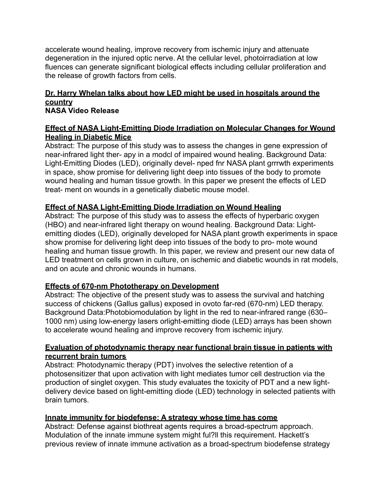accelerate wound healing, improve recovery from ischemic injury and attenuate degeneration in the injured optic nerve. At the cellular level, photoirradiation at low fluences can generate significant biological effects including cellular proliferation and the release of growth factors from cells.

#### **[Dr. Harry Whelan talks about how LED might be used in hospitals around the](http://www.msfc.nasa.gov/news/news/video/1999/video99-252.htm)  [country](http://www.msfc.nasa.gov/news/news/video/1999/video99-252.htm) NASA Video Release**

#### **[Effect of NASA Light-Emitting Diode Irradiation on Molecular Changes for Wound](http://www.ultimatehealing.com/AppData/Local/Microsoft/Windows/Temporary%20Internet%20Files/Low/Content.IE5/D12SI2NH/lib/pdf/DiabeticMice_JCLMS.pdf)  [Healing in Diabetic Mice](http://www.ultimatehealing.com/AppData/Local/Microsoft/Windows/Temporary%20Internet%20Files/Low/Content.IE5/D12SI2NH/lib/pdf/DiabeticMice_JCLMS.pdf)**

Abstract: The purpose of this study was to assess the changes in gene expression of near-infrared light ther- apy in a modcl of impaired wound healing. Background Data: Light-Emitting Diodes (LED), originally devel- nped fnr NASA plant grrrwth experiments in space, show promise for delivering light deep into tissues of the body to promote wound healing and human tissue growth. In this paper we present the effects of LED treat- ment on wounds in a genetically diabetic mouse model.

## **[Effect of NASA Light-Emitting Diode Irradiation on Wound Healing](http://www.ultimatehealing.com/%22)**

Abstract: The purpose of this study was to assess the effects of hyperbaric oxygen (HBO) and near-infrared light therapy on wound healing. Background Data: Lightemitting diodes (LED), originally developed for NASA plant growth experiments in space show promise for delivering light deep into tissues of the body to pro- mote wound healing and human tissue growth. In this paper, we review and present our new data of LED treatment on cells grown in culture, on ischemic and diabetic wounds in rat models, and on acute and chronic wounds in humans.

## **[Effects of 670-nm Phototherapy on Development](http://www.ultimatehealing.com/%22../AppData/Local/Microsoft/Windows/Temporary%20Internet%20Files/Low/Content.IE5/D12SI2NH/lib/pdf/6)**

Abstract: The objective of the present study was to assess the survival and hatching success of chickens (Gallus gallus) exposed in ovoto far-red (670-nm) LED therapy. Background Data:Photobiomodulation by light in the red to near-infrared range (630– 1000 nm) using low-energy lasers orlight-emitting diode (LED) arrays has been shown to accelerate wound healing and improve recovery from ischemic injury.

#### **[Evaluation of photodynamic therapy near functional brain tissue in patients with](http://www.ultimatehealing.com/%22../AppData/Local/Microsoft/Windows/Temporary%20Internet%20Files/Low/Content.IE5/D12SI2NH/lib/pdf/Photodynam)  [recurrent brain tumors](http://www.ultimatehealing.com/%22../AppData/Local/Microsoft/Windows/Temporary%20Internet%20Files/Low/Content.IE5/D12SI2NH/lib/pdf/Photodynam)**

Abstract: Photodynamic therapy (PDT) involves the selective retention of a photosensitizer that upon activation with light mediates tumor cell destruction via the production of singlet oxygen. This study evaluates the toxicity of PDT and a new lightdelivery device based on light-emitting diode (LED) technology in selected patients with brain tumors.

#### **[Innate immunity for biodefense: A strategy whose time has come](http://www.ultimatehealing.com/%22../AppData/Local/Microsoft/Windows/Temporary%20Internet%20Files/Low/Content.IE5/D12SI2NH/lib/pdf/JACI_Whelan_YMA)**

Abstract: Defense against biothreat agents requires a broad-spectrum approach. Modulation of the innate immune system might ful?ll this requirement. Hackett's previous review of innate immune activation as a broad-spectrum biodefense strategy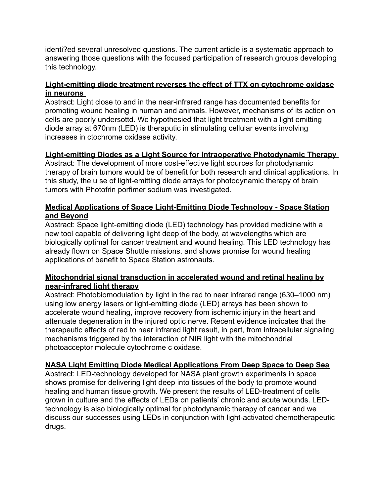identi?ed several unresolved questions. The current article is a systematic approach to answering those questions with the focused participation of research groups developing this technology.

## **[Light-emitting diode treatment reverses the effect of TTX on cytochrome oxidase](http://www.ultimatehealing.com/%22../AppData/Local/Microsoft/Windows/Temporary%20Internet%20File)  [in neurons](http://www.ultimatehealing.com/%22../AppData/Local/Microsoft/Windows/Temporary%20Internet%20File)**

Abstract: Light close to and in the near-infrared range has documented benefits for promoting wound healing in human and animals. However, mechanisms of its action on cells are poorly undersottd. We hypothesied that light treatment with a light emitting diode array at 670nm (LED) is theraputic in stimulating cellular events involving increases in ctochrome oxidase activity.

# **[Light-emitting Diodes as a Light Source for Intraoperative Photodynamic Therapy](http://www.ultimatehealing.com/%22../AppData/Local/Microsoft/Windows/Temporary%20Internet%20Files/Low/Conten)**

Abstract: The development of more cost-effective light sources for photodynamic therapy of brain tumors would be of benefit for both research and clinical applications. In this study, the u se of light-emitting diode arrays for photodynamic therapy of brain tumors with Photofrin porfimer sodium was investigated.

#### **[Medical Applications of Space Light-Emitting Diode Technology - Space Station](http://www.ultimatehealing.com/%22../AppData/Local/Microsoft/Windows/Temporary%20Internet%20Files/Low/Content.IE5/D1)  [and Beyond](http://www.ultimatehealing.com/%22../AppData/Local/Microsoft/Windows/Temporary%20Internet%20Files/Low/Content.IE5/D1)**

Abstract: Space light-emitting diode (LED) technology has provided medicine with a new tool capable of delivering light deep of the body, at wavelengths which are biologically optimal for cancer treatment and wound healing. This LED technology has already flown on Space Shuttle missions. and shows promise for wound healing applications of benefit to Space Station astronauts.

#### **[Mitochondrial signal transduction in accelerated wound and retinal healing by](http://www.ultimatehealing.com/%22../AppData/Local/Microsoft/Windows/Temporary%20Internet%20F)  [near-infrared light therapy](http://www.ultimatehealing.com/%22../AppData/Local/Microsoft/Windows/Temporary%20Internet%20F)**

Abstract: Photobiomodulation by light in the red to near infrared range (630–1000 nm) using low energy lasers or light-emitting diode (LED) arrays has been shown to accelerate wound healing, improve recovery from ischemic injury in the heart and attenuate degeneration in the injured optic nerve. Recent evidence indicates that the therapeutic effects of red to near infrared light result, in part, from intracellular signaling mechanisms triggered by the interaction of NIR light with the mitochondrial photoacceptor molecule cytochrome c oxidase.

## **[NASA Light Emitting Diode Medical Applications From Deep Space to Deep Sea](http://www.ultimatehealing.com/%22../AppData/Local/Microsoft/Windows/Temporary%20Internet%20Files/Low/Content.IE5/D12SI2NH/li)**

Abstract: LED-technology developed for NASA plant growth experiments in space shows promise for delivering light deep into tissues of the body to promote wound healing and human tissue growth. We present the results of LED-treatment of cells grown in culture and the effects of LEDs on patients' chronic and acute wounds. LEDtechnology is also biologically optimal for photodynamic therapy of cancer and we discuss our successes using LEDs in conjunction with light-activated chemotherapeutic drugs.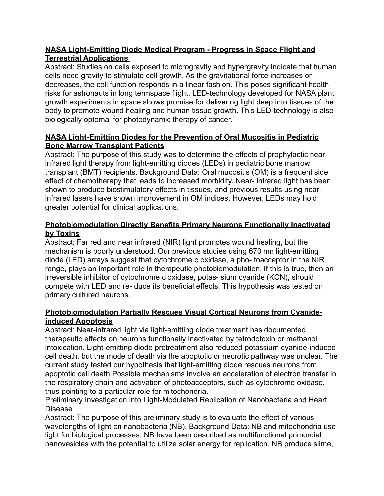## **[NASA Light-Emitting Diode Medical Program - Progress in Space Flight and](http://www.ultimatehealing.com/AppData/Local/Microsoft/Windows/Temporary%20Internet%20Files/Low/Content.IE5/D12SI2NH/lib/pdf/NASA_Terrestrial.pdf)  [Terrestrial Applications](http://www.ultimatehealing.com/AppData/Local/Microsoft/Windows/Temporary%20Internet%20Files/Low/Content.IE5/D12SI2NH/lib/pdf/NASA_Terrestrial.pdf)**

Abstract: Studies on cells exposed to microgravity and hypergravity indicate that human cells need gravity to stimulate cell growth. As the gravitational force increases or decreases, the cell function responds in a linear fashion. This poses significant health risks for astronauts in long termspace flight. LED-technology developed for NASA plant growth experiments in space shows promise for delivering light deep into tissues of the body to promote wound healing and human tissue growth. This LED-technology is also biologically optomal for photodynamic therapy of cancer.

# **[NASA Light-Emitting Diodes for the Prevention of Oral Mucositis in Pediatric](http://www.ultimatehealing.com/%22../AppD)  [Bone Marrow Transplant Patients](http://www.ultimatehealing.com/%22../AppD)**

Abstract: The purpose of this study was to determine the effects of prophylactic nearinfrared light therapy from light-emitting diodes (LEDs) in pediatric bone marrow transplant (BMT) recipients. Background Data: Oral mucositis (OM) is a frequent side effect of chemotherapy that leads to increased morbidity. Near- infrared light has been shown to produce biostimulatory effects in tissues, and previous results using nearinfrared lasers have shown improvement in OM indices. However, LEDs may hold greater potential for clinical applications.

## **[Photobiomodulation Directly Benefits Primary Neurons Functionally Inactivated](http://www.ultimatehealing.com/AppData/Local/Microsoft/Windows/Temporary%20Internet%20Files/Low/Content.IE5/D12SI2NH/lib/pdf/Primary_Neurons.pdf)  [by Toxins](http://www.ultimatehealing.com/AppData/Local/Microsoft/Windows/Temporary%20Internet%20Files/Low/Content.IE5/D12SI2NH/lib/pdf/Primary_Neurons.pdf)**

Abstract: Far red and near infrared (NIR) light promotes wound healing, but the mechanism is poorly understood. Our previous studies using 670 nm light-emitting diode (LED) arrays suggest that cytochrome c oxidase, a pho- toacceptor in the NIR range, plays an important role in therapeutic photobiomodulation. If this is true, then an irreversible inhibitor of cytochrome c oxidase, potas- sium cyanide (KCN), should compete with LED and re- duce its beneficial effects. This hypothesis was tested on primary cultured neurons.

## **[Photobiomodulation Partially Rescues Visual Cortical Neurons from Cyanide](http://www.ultimatehealing.com/%22../AppData/Local/Microsoft/Windows/Temporary%20Internet%20Files)[induced Apoptosis](http://www.ultimatehealing.com/%22../AppData/Local/Microsoft/Windows/Temporary%20Internet%20Files)**

Abstract: Near-infrared light via light-emitting diode treatment has documented therapeutic effects on neurons functionally inactivated by tetrodotoxin or methanol intoxication. Light-emitting diode pretreatment also reduced potassium cyanide-induced cell death, but the mode of death via the apoptotic or necrotic pathway was unclear. The current study tested our hypothesis that light-emitting diode rescues neurons from apoptotic cell death.Possible mechanisms involve an acceleration of electron transfer in the respiratory chain and activation of photoacceptors, such as cytochrome oxidase, thus pointing to a particular role for mitochondria.

#### [Preliminary Investigation into Light-Modulated Replication of Nanobacteria and Heart](http://www.ultimatehealing.com/%22../AppData/Local/Mi)  **[Disease](http://www.ultimatehealing.com/%22../AppData/Local/Mi)**

Abstract: The purpose of this preliminary study is to evaluate the effect of various wavelengths of light on nanobacteria (NB). Background Data: NB and mitochondria use light for biological processes. NB have been described as multifunctional primordial nanovesicles with the potential to utilize solar energy for replication. NB produce slime,